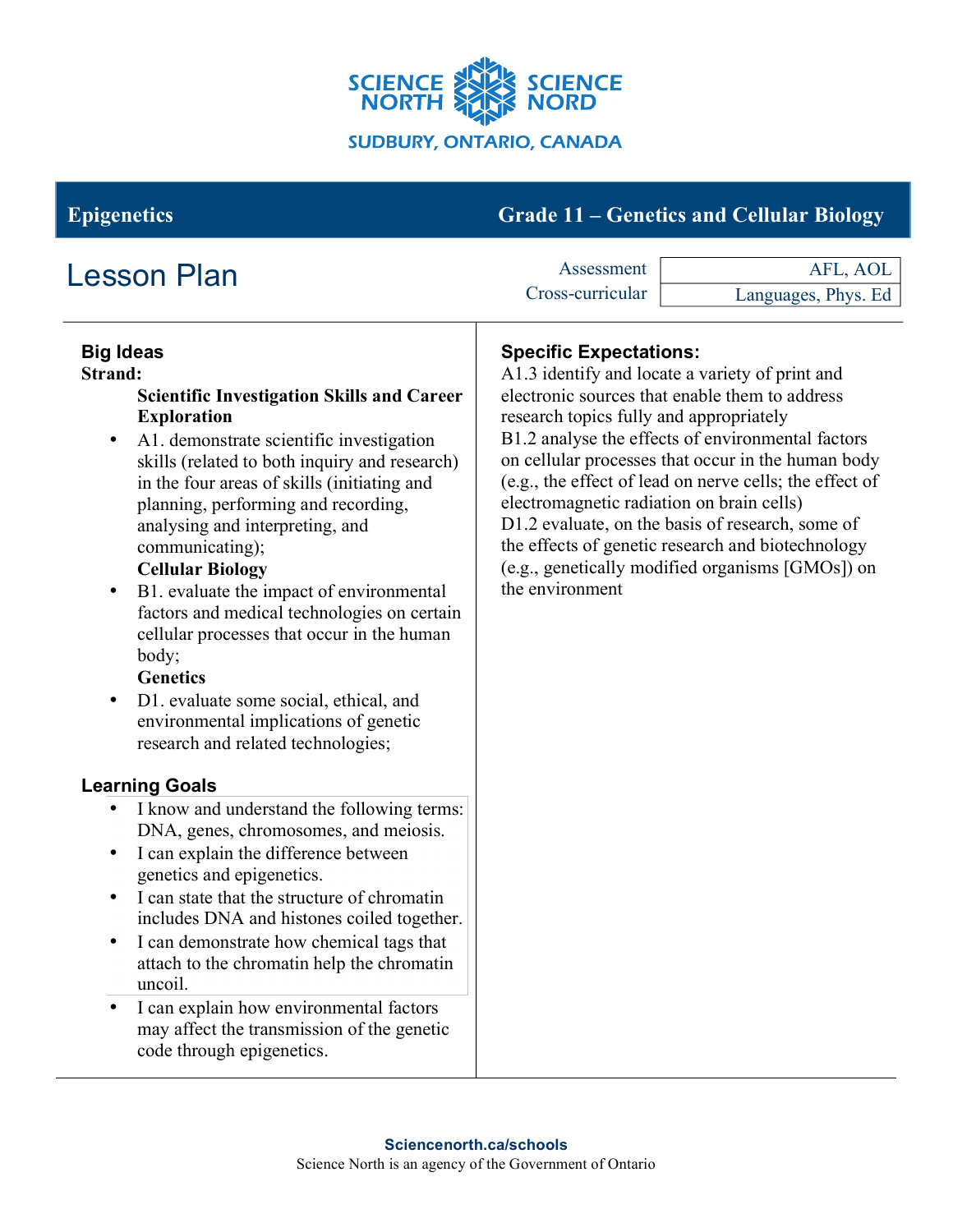

# **Epigenetics Grade 11 – Genetics and Cellular Biology**

| <b>Lesson Plan</b>                                                                                                                                                                                                                                                                                                                                                                                                                                                                                                                                                                                                                                                                                                                                                                                                                                                                                                                                                                                                                                                                                                                                                                                                                                            | Assessment                                                                                                                               | AFL, AOL                                                                                                                                                                                                                                                                                                                                                                                                                             |
|---------------------------------------------------------------------------------------------------------------------------------------------------------------------------------------------------------------------------------------------------------------------------------------------------------------------------------------------------------------------------------------------------------------------------------------------------------------------------------------------------------------------------------------------------------------------------------------------------------------------------------------------------------------------------------------------------------------------------------------------------------------------------------------------------------------------------------------------------------------------------------------------------------------------------------------------------------------------------------------------------------------------------------------------------------------------------------------------------------------------------------------------------------------------------------------------------------------------------------------------------------------|------------------------------------------------------------------------------------------------------------------------------------------|--------------------------------------------------------------------------------------------------------------------------------------------------------------------------------------------------------------------------------------------------------------------------------------------------------------------------------------------------------------------------------------------------------------------------------------|
|                                                                                                                                                                                                                                                                                                                                                                                                                                                                                                                                                                                                                                                                                                                                                                                                                                                                                                                                                                                                                                                                                                                                                                                                                                                               | Cross-curricular                                                                                                                         | Languages, Phys. Ed                                                                                                                                                                                                                                                                                                                                                                                                                  |
| <b>Big Ideas</b><br><b>Strand:</b><br><b>Scientific Investigation Skills and Career</b><br><b>Exploration</b><br>A1. demonstrate scientific investigation<br>$\bullet$<br>skills (related to both inquiry and research)<br>in the four areas of skills (initiating and<br>planning, performing and recording,<br>analysing and interpreting, and<br>communicating);<br><b>Cellular Biology</b><br>B1. evaluate the impact of environmental<br>$\bullet$<br>factors and medical technologies on certain<br>cellular processes that occur in the human<br>body;<br><b>Genetics</b><br>D1. evaluate some social, ethical, and<br>$\bullet$<br>environmental implications of genetic<br>research and related technologies;<br><b>Learning Goals</b><br>I know and understand the following terms:<br>DNA, genes, chromosomes, and meiosis.<br>I can explain the difference between<br>$\bullet$<br>genetics and epigenetics.<br>I can state that the structure of chromatin<br>includes DNA and histones coiled together.<br>I can demonstrate how chemical tags that<br>$\bullet$<br>attach to the chromatin help the chromatin<br>uncoil.<br>I can explain how environmental factors<br>may affect the transmission of the genetic<br>code through epigenetics. | <b>Specific Expectations:</b><br>research topics fully and appropriately<br>electromagnetic radiation on brain cells)<br>the environment | A1.3 identify and locate a variety of print and<br>electronic sources that enable them to address<br>B1.2 analyse the effects of environmental factors<br>on cellular processes that occur in the human body<br>(e.g., the effect of lead on nerve cells; the effect of<br>D1.2 evaluate, on the basis of research, some of<br>the effects of genetic research and biotechnology<br>(e.g., genetically modified organisms [GMOs]) on |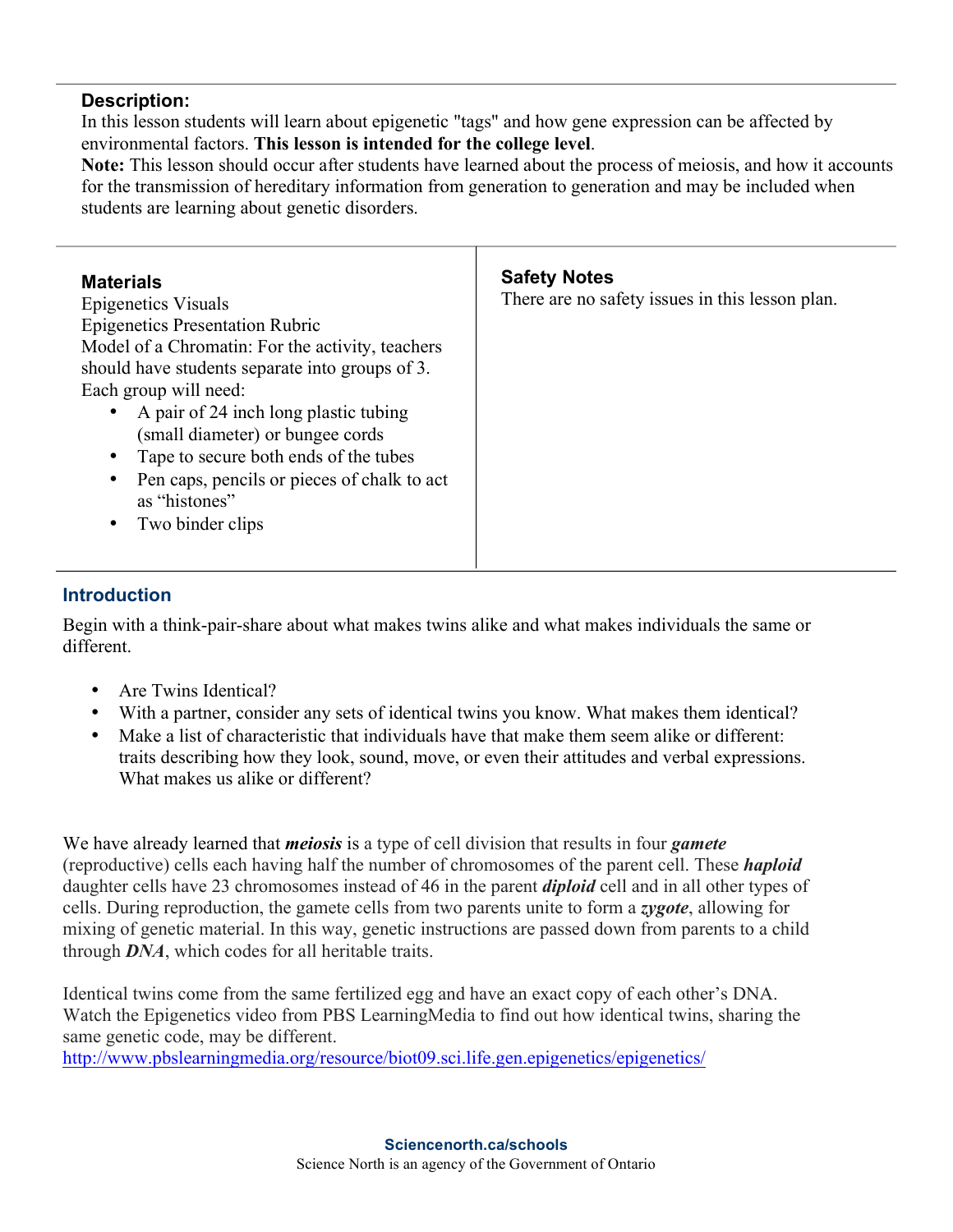#### **Description:**

In this lesson students will learn about epigenetic "tags" and how gene expression can be affected by environmental factors. **This lesson is intended for the college level**.

**Note:** This lesson should occur after students have learned about the process of meiosis, and how it accounts for the transmission of hereditary information from generation to generation and may be included when students are learning about genetic disorders.

| <b>Materials</b><br><b>Epigenetics Visuals</b><br><b>Epigenetics Presentation Rubric</b><br>Model of a Chromatin: For the activity, teachers<br>should have students separate into groups of 3.<br>Each group will need:<br>• A pair of 24 inch long plastic tubing<br>(small diameter) or bungee cords<br>Tape to secure both ends of the tubes<br>Pen caps, pencils or pieces of chalk to act<br>٠<br>as "histones"<br>Two binder clips<br>$\bullet$ | <b>Safety Notes</b><br>There are no safety issues in this lesson plan. |
|--------------------------------------------------------------------------------------------------------------------------------------------------------------------------------------------------------------------------------------------------------------------------------------------------------------------------------------------------------------------------------------------------------------------------------------------------------|------------------------------------------------------------------------|
|--------------------------------------------------------------------------------------------------------------------------------------------------------------------------------------------------------------------------------------------------------------------------------------------------------------------------------------------------------------------------------------------------------------------------------------------------------|------------------------------------------------------------------------|

# **Introduction**

Begin with a think-pair-share about what makes twins alike and what makes individuals the same or different.

- Are Twins Identical?
- With a partner, consider any sets of identical twins you know. What makes them identical?
- Make a list of characteristic that individuals have that make them seem alike or different: traits describing how they look, sound, move, or even their attitudes and verbal expressions. What makes us alike or different?

We have already learned that *meiosis* is a type of cell division that results in four *gamete*  (reproductive) cells each having half the number of chromosomes of the parent cell. These *haploid*  daughter cells have 23 chromosomes instead of 46 in the parent *diploid* cell and in all other types of cells. During reproduction, the gamete cells from two parents unite to form a *zygote*, allowing for mixing of genetic material. In this way, genetic instructions are passed down from parents to a child through *DNA*, which codes for all heritable traits.

Identical twins come from the same fertilized egg and have an exact copy of each other's DNA. Watch the Epigenetics video from PBS LearningMedia to find out how identical twins, sharing the same genetic code, may be different.

http://www.pbslearningmedia.org/resource/biot09.sci.life.gen.epigenetics/epigenetics/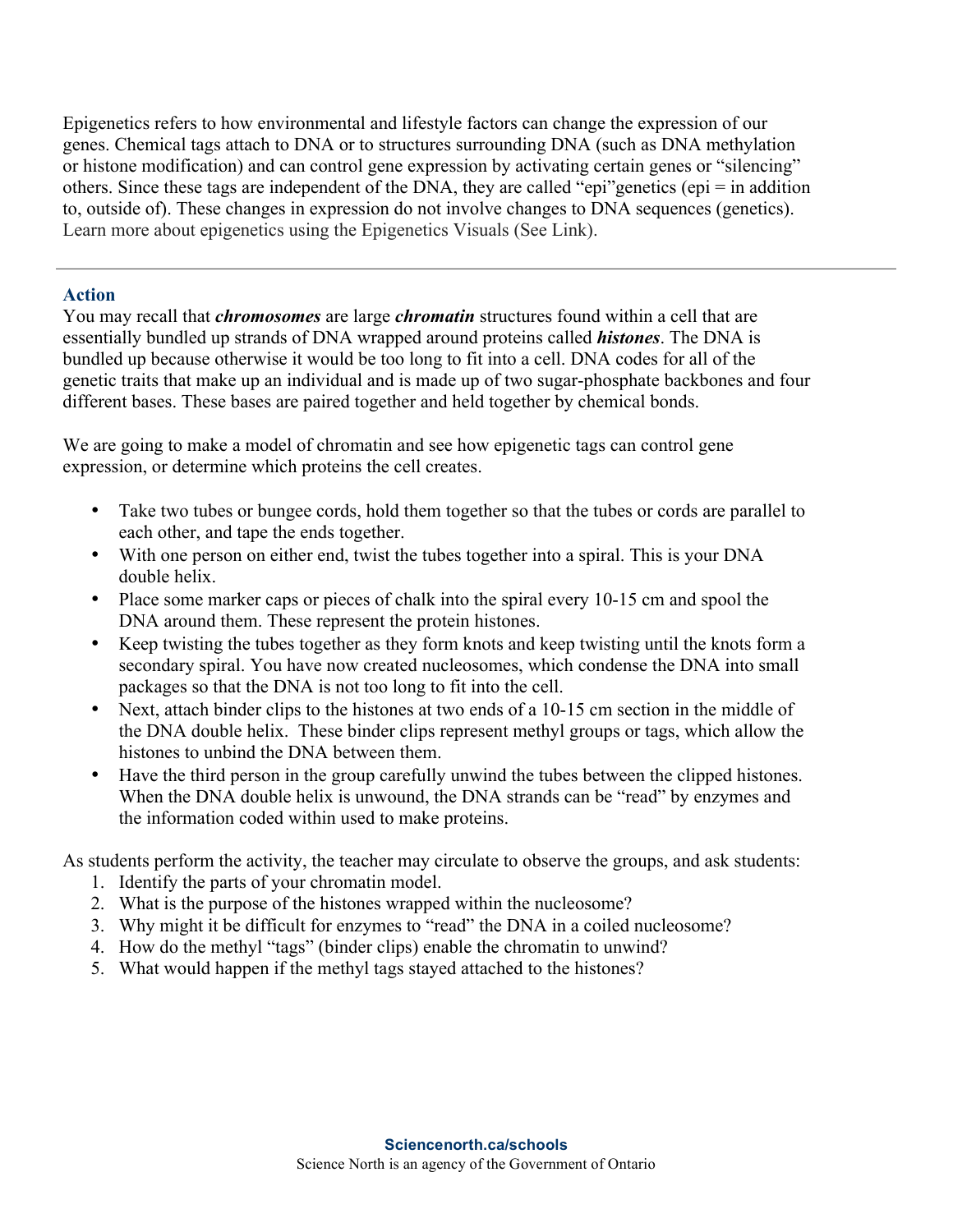Epigenetics refers to how environmental and lifestyle factors can change the expression of our genes. Chemical tags attach to DNA or to structures surrounding DNA (such as DNA methylation or histone modification) and can control gene expression by activating certain genes or "silencing" others. Since these tags are independent of the DNA, they are called "epi"genetics (epi = in addition to, outside of). These changes in expression do not involve changes to DNA sequences (genetics). Learn more about epigenetics using the Epigenetics Visuals (See Link).

# **Action**

You may recall that *chromosomes* are large *chromatin* structures found within a cell that are essentially bundled up strands of DNA wrapped around proteins called *histones*. The DNA is bundled up because otherwise it would be too long to fit into a cell. DNA codes for all of the genetic traits that make up an individual and is made up of two sugar-phosphate backbones and four different bases. These bases are paired together and held together by chemical bonds.

We are going to make a model of chromatin and see how epigenetic tags can control gene expression, or determine which proteins the cell creates.

- Take two tubes or bungee cords, hold them together so that the tubes or cords are parallel to each other, and tape the ends together.
- With one person on either end, twist the tubes together into a spiral. This is your DNA double helix.
- Place some marker caps or pieces of chalk into the spiral every 10-15 cm and spool the DNA around them. These represent the protein histones.
- Keep twisting the tubes together as they form knots and keep twisting until the knots form a secondary spiral. You have now created nucleosomes, which condense the DNA into small packages so that the DNA is not too long to fit into the cell.
- Next, attach binder clips to the histones at two ends of a 10-15 cm section in the middle of the DNA double helix. These binder clips represent methyl groups or tags, which allow the histones to unbind the DNA between them.
- Have the third person in the group carefully unwind the tubes between the clipped histones. When the DNA double helix is unwound, the DNA strands can be "read" by enzymes and the information coded within used to make proteins.

As students perform the activity, the teacher may circulate to observe the groups, and ask students:

- 1. Identify the parts of your chromatin model.
- 2. What is the purpose of the histones wrapped within the nucleosome?
- 3. Why might it be difficult for enzymes to "read" the DNA in a coiled nucleosome?
- 4. How do the methyl "tags" (binder clips) enable the chromatin to unwind?
- 5. What would happen if the methyl tags stayed attached to the histones?